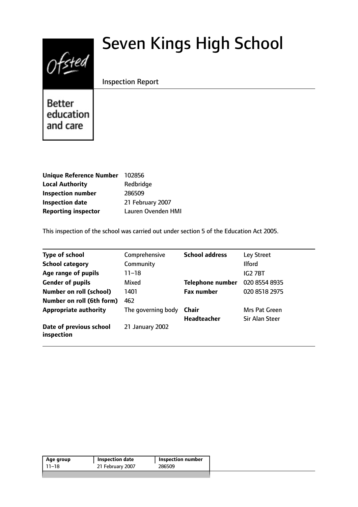# $0$ fsted

# Seven Kings High School

# Inspection Report

Better education and care

| Unique Reference Number 102856 |                    |
|--------------------------------|--------------------|
| <b>Local Authority</b>         | Redbridge          |
| <b>Inspection number</b>       | 286509             |
| <b>Inspection date</b>         | 21 February 2007   |
| <b>Reporting inspector</b>     | Lauren Ovenden HMI |

This inspection of the school was carried out under section 5 of the Education Act 2005.

| <b>Type of school</b>                 | Comprehensive      | <b>School address</b>   | Ley Street     |
|---------------------------------------|--------------------|-------------------------|----------------|
| <b>School category</b>                | Community          |                         | <b>Ilford</b>  |
| Age range of pupils                   | 11–18              |                         | IG2 7BT        |
| <b>Gender of pupils</b>               | Mixed              | <b>Telephone number</b> | 020 8554 8935  |
| <b>Number on roll (school)</b>        | 1401               | <b>Fax number</b>       | 020 8518 2975  |
| Number on roll (6th form)             | 462                |                         |                |
| <b>Appropriate authority</b>          | The governing body | Chair                   | Mrs Pat Green  |
|                                       |                    | <b>Headteacher</b>      | Sir Alan Steer |
| Date of previous school<br>inspection | 21 January 2002    |                         |                |

| Age group | Inspection date  | Inspection number |
|-----------|------------------|-------------------|
| 11–18     | 21 February 2007 | 286509            |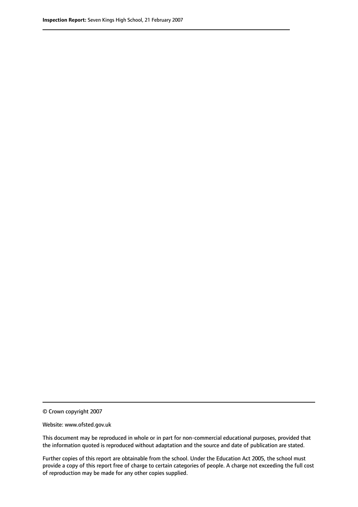© Crown copyright 2007

Website: www.ofsted.gov.uk

This document may be reproduced in whole or in part for non-commercial educational purposes, provided that the information quoted is reproduced without adaptation and the source and date of publication are stated.

Further copies of this report are obtainable from the school. Under the Education Act 2005, the school must provide a copy of this report free of charge to certain categories of people. A charge not exceeding the full cost of reproduction may be made for any other copies supplied.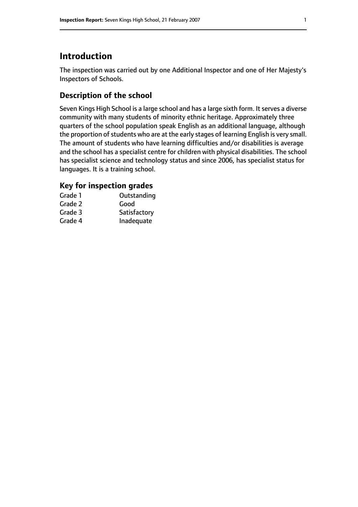# **Introduction**

The inspection was carried out by one Additional Inspector and one of Her Majesty's Inspectors of Schools.

# **Description of the school**

Seven Kings High School is a large school and has a large sixth form. It serves a diverse community with many students of minority ethnic heritage. Approximately three quarters of the school population speak English as an additional language, although the proportion of students who are at the early stages of learning English is very small. The amount of students who have learning difficulties and/or disabilities is average and the school has a specialist centre for children with physical disabilities. The school has specialist science and technology status and since 2006, has specialist status for languages. It is a training school.

# **Key for inspection grades**

| Grade 1 | Outstanding  |
|---------|--------------|
| Grade 2 | Good         |
| Grade 3 | Satisfactory |
| Grade 4 | Inadequate   |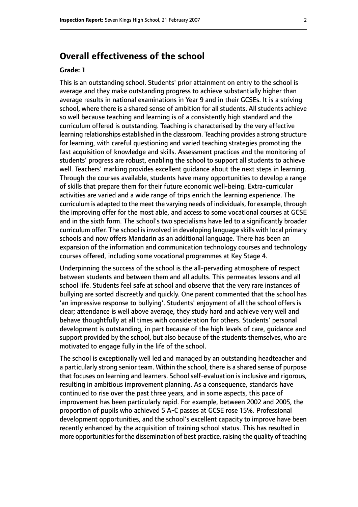# **Overall effectiveness of the school**

#### **Grade: 1**

This is an outstanding school. Students' prior attainment on entry to the school is average and they make outstanding progress to achieve substantially higher than average results in national examinations in Year 9 and in their GCSEs. It is a striving school, where there is a shared sense of ambition for all students. All students achieve so well because teaching and learning is of a consistently high standard and the curriculum offered is outstanding. Teaching is characterised by the very effective learning relationships established in the classroom. Teaching provides a strong structure for learning, with careful questioning and varied teaching strategies promoting the fast acquisition of knowledge and skills. Assessment practices and the monitoring of students' progress are robust, enabling the school to support all students to achieve well. Teachers' marking provides excellent guidance about the next steps in learning. Through the courses available, students have many opportunities to develop a range of skills that prepare them for their future economic well-being. Extra-curricular activities are varied and a wide range of trips enrich the learning experience. The curriculum is adapted to the meet the varying needs of individuals, for example, through the improving offer for the most able, and access to some vocational courses at GCSE and in the sixth form. The school's two specialisms have led to a significantly broader curriculum offer. The school is involved in developing language skills with local primary schools and now offers Mandarin as an additional language. There has been an expansion of the information and communication technology courses and technology courses offered, including some vocational programmes at Key Stage 4.

Underpinning the success of the school is the all-pervading atmosphere of respect between students and between them and all adults. This permeates lessons and all school life. Students feel safe at school and observe that the very rare instances of bullying are sorted discreetly and quickly. One parent commented that the school has 'an impressive response to bullying'. Students' enjoyment of all the school offers is clear; attendance is well above average, they study hard and achieve very well and behave thoughtfully at all times with consideration for others. Students' personal development is outstanding, in part because of the high levels of care, guidance and support provided by the school, but also because of the students themselves, who are motivated to engage fully in the life of the school.

The school is exceptionally well led and managed by an outstanding headteacher and a particularly strong senior team. Within the school, there is a shared sense of purpose that focuses on learning and learners. School self-evaluation is inclusive and rigorous, resulting in ambitious improvement planning. As a consequence, standards have continued to rise over the past three years, and in some aspects, this pace of improvement has been particularly rapid. For example, between 2002 and 2005, the proportion of pupils who achieved 5 A-C passes at GCSE rose 15%. Professional development opportunities, and the school's excellent capacity to improve have been recently enhanced by the acquisition of training school status. This has resulted in more opportunities for the dissemination of best practice, raising the quality of teaching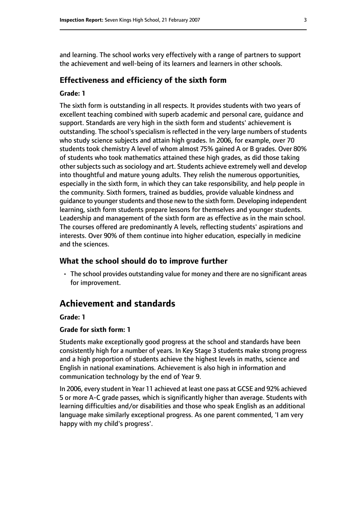and learning. The school works very effectively with a range of partners to support the achievement and well-being of its learners and learners in other schools.

#### **Effectiveness and efficiency of the sixth form**

#### **Grade: 1**

The sixth form is outstanding in all respects. It provides students with two years of excellent teaching combined with superb academic and personal care, guidance and support. Standards are very high in the sixth form and students' achievement is outstanding. The school's specialism is reflected in the very large numbers of students who study science subjects and attain high grades. In 2006, for example, over 70 students took chemistry A level of whom almost 75% gained A or B grades. Over 80% of students who took mathematics attained these high grades, as did those taking other subjects such as sociology and art. Students achieve extremely well and develop into thoughtful and mature young adults. They relish the numerous opportunities, especially in the sixth form, in which they can take responsibility, and help people in the community. Sixth formers, trained as buddies, provide valuable kindness and guidance to younger students and those new to the sixth form. Developing independent learning, sixth form students prepare lessons for themselves and younger students. Leadership and management of the sixth form are as effective as in the main school. The courses offered are predominantly A levels, reflecting students' aspirations and interests. Over 90% of them continue into higher education, especially in medicine and the sciences.

#### **What the school should do to improve further**

• The school provides outstanding value for money and there are no significant areas for improvement.

# **Achievement and standards**

#### **Grade: 1**

#### **Grade for sixth form: 1**

Students make exceptionally good progress at the school and standards have been consistently high for a number of years. In Key Stage 3 students make strong progress and a high proportion of students achieve the highest levels in maths, science and English in national examinations. Achievement is also high in information and communication technology by the end of Year 9.

In 2006, every student in Year 11 achieved at least one pass at GCSE and 92% achieved 5 or more A-C grade passes, which is significantly higher than average. Students with learning difficulties and/or disabilities and those who speak English as an additional language make similarly exceptional progress. As one parent commented, 'I am very happy with my child's progress'.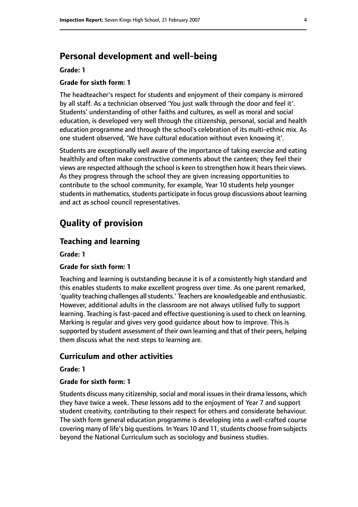# **Personal development and well-being**

#### **Grade: 1**

#### **Grade for sixth form: 1**

The headteacher's respect for students and enjoyment of their company is mirrored by all staff. As a technician observed 'You just walk through the door and feel it'. Students' understanding of other faiths and cultures, as well as moral and social education, is developed very well through the citizenship, personal, social and health education programme and through the school's celebration of its multi-ethnic mix. As one student observed, 'We have cultural education without even knowing it'.

Students are exceptionally well aware of the importance of taking exercise and eating healthily and often make constructive comments about the canteen; they feel their views are respected although the school is keen to strengthen how it hears their views. As they progress through the school they are given increasing opportunities to contribute to the school community, for example, Year 10 students help younger students in mathematics, students participate in focus group discussions about learning and act as school council representatives.

# **Quality of provision**

#### **Teaching and learning**

**Grade: 1**

#### **Grade for sixth form: 1**

Teaching and learning is outstanding because it is of a consistently high standard and this enables students to make excellent progress over time. As one parent remarked, 'quality teaching challenges all students.' Teachers are knowledgeable and enthusiastic. However, additional adults in the classroom are not always utilised fully to support learning. Teaching is fast-paced and effective questioning is used to check on learning. Marking is regular and gives very good guidance about how to improve. This is supported by student assessment of their own learning and that of their peers, helping them discuss what the next steps to learning are.

# **Curriculum and other activities**

#### **Grade: 1**

#### **Grade for sixth form: 1**

Students discuss many citizenship, social and moral issues in their drama lessons, which they have twice a week. These lessons add to the enjoyment of Year 7 and support student creativity, contributing to their respect for others and considerate behaviour. The sixth form general education programme is developing into a well-crafted course covering many of life's big questions. In Years 10 and 11, students choose from subjects beyond the National Curriculum such as sociology and business studies.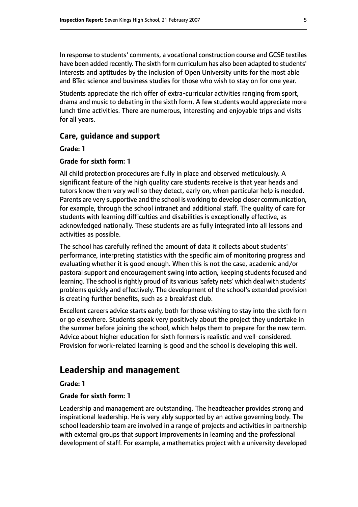In response to students' comments, a vocational construction course and GCSE textiles have been added recently. The sixth form curriculum has also been adapted to students' interests and aptitudes by the inclusion of Open University units for the most able and BTec science and business studies for those who wish to stay on for one year.

Students appreciate the rich offer of extra-curricular activities ranging from sport, drama and music to debating in the sixth form. A few students would appreciate more lunch time activities. There are numerous, interesting and enjoyable trips and visits for all years.

#### **Care, guidance and support**

**Grade: 1**

#### **Grade for sixth form: 1**

All child protection procedures are fully in place and observed meticulously. A significant feature of the high quality care students receive is that year heads and tutors know them very well so they detect, early on, when particular help is needed. Parents are very supportive and the school is working to develop closer communication, for example, through the school intranet and additional staff. The quality of care for students with learning difficulties and disabilities is exceptionally effective, as acknowledged nationally. These students are as fully integrated into all lessons and activities as possible.

The school has carefully refined the amount of data it collects about students' performance, interpreting statistics with the specific aim of monitoring progress and evaluating whether it is good enough. When this is not the case, academic and/or pastoral support and encouragement swing into action, keeping students focused and learning. The school is rightly proud of its various 'safety nets' which deal with students' problems quickly and effectively. The development of the school's extended provision is creating further benefits, such as a breakfast club.

Excellent careers advice starts early, both for those wishing to stay into the sixth form or go elsewhere. Students speak very positively about the project they undertake in the summer before joining the school, which helps them to prepare for the new term. Advice about higher education for sixth formers is realistic and well-considered. Provision for work-related learning is good and the school is developing this well.

# **Leadership and management**

**Grade: 1**

#### **Grade for sixth form: 1**

Leadership and management are outstanding. The headteacher provides strong and inspirational leadership. He is very ably supported by an active governing body. The school leadership team are involved in a range of projects and activities in partnership with external groups that support improvements in learning and the professional development of staff. For example, a mathematics project with a university developed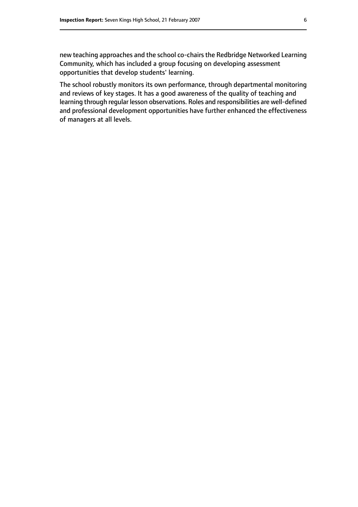new teaching approaches and the school co-chairs the Redbridge Networked Learning Community, which has included a group focusing on developing assessment opportunities that develop students' learning.

The school robustly monitors its own performance, through departmental monitoring and reviews of key stages. It has a good awareness of the quality of teaching and learning through regular lesson observations. Roles and responsibilities are well-defined and professional development opportunities have further enhanced the effectiveness of managers at all levels.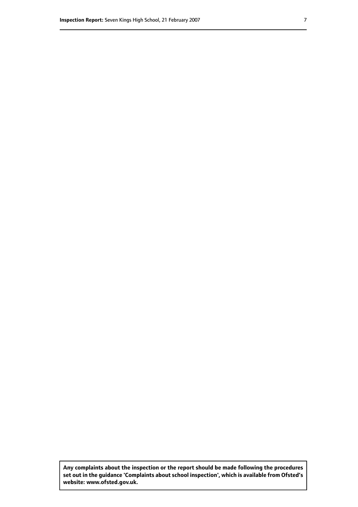**Any complaints about the inspection or the report should be made following the procedures set out inthe guidance 'Complaints about school inspection', whichis available from Ofsted's website: www.ofsted.gov.uk.**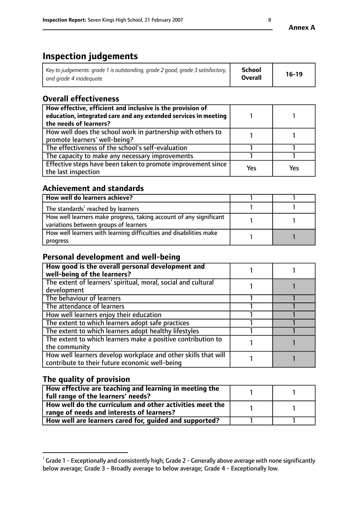# **Inspection judgements**

| Key to judgements: grade 1 is outstanding, grade 2 good, grade 3 satisfactory, $\parallel$ | School         | $16-19$ |
|--------------------------------------------------------------------------------------------|----------------|---------|
| and grade 4 inadequate                                                                     | <b>Overall</b> |         |

# **Overall effectiveness**

| How effective, efficient and inclusive is the provision of<br>education, integrated care and any extended services in meeting<br>the needs of learners? |     |     |
|---------------------------------------------------------------------------------------------------------------------------------------------------------|-----|-----|
| How well does the school work in partnership with others to<br>promote learners' well-being?                                                            |     |     |
| The effectiveness of the school's self-evaluation                                                                                                       |     |     |
| The capacity to make any necessary improvements                                                                                                         |     |     |
| Effective steps have been taken to promote improvement since<br>the last inspection                                                                     | Yes | Yes |

# **Achievement and standards**

| How well do learners achieve?                                                                               |  |
|-------------------------------------------------------------------------------------------------------------|--|
| The standards <sup>1</sup> reached by learners                                                              |  |
| How well learners make progress, taking account of any significant<br>variations between groups of learners |  |
| How well learners with learning difficulties and disabilities make<br>progress                              |  |

# **Personal development and well-being**

| How good is the overall personal development and<br>well-being of the learners?                                  |  |
|------------------------------------------------------------------------------------------------------------------|--|
| The extent of learners' spiritual, moral, social and cultural<br>development                                     |  |
| The behaviour of learners                                                                                        |  |
| The attendance of learners                                                                                       |  |
| How well learners enjoy their education                                                                          |  |
| The extent to which learners adopt safe practices                                                                |  |
| The extent to which learners adopt healthy lifestyles                                                            |  |
| The extent to which learners make a positive contribution to<br>the community                                    |  |
| How well learners develop workplace and other skills that will<br>contribute to their future economic well-being |  |

# **The quality of provision**

| How effective are teaching and learning in meeting the<br>full range of the learners' needs?          |  |
|-------------------------------------------------------------------------------------------------------|--|
| How well do the curriculum and other activities meet the<br>range of needs and interests of learners? |  |
| How well are learners cared for, guided and supported?                                                |  |

 $^1$  Grade 1 - Exceptionally and consistently high; Grade 2 - Generally above average with none significantly below average; Grade 3 - Broadly average to below average; Grade 4 - Exceptionally low.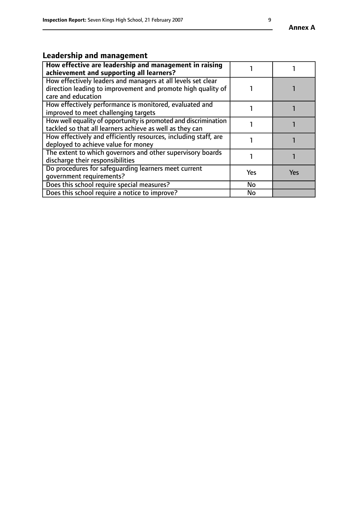# **Leadership and management**

| How effective are leadership and management in raising<br>achievement and supporting all learners?                                                 |     |     |
|----------------------------------------------------------------------------------------------------------------------------------------------------|-----|-----|
| How effectively leaders and managers at all levels set clear<br>direction leading to improvement and promote high quality of<br>care and education |     |     |
| How effectively performance is monitored, evaluated and<br>improved to meet challenging targets                                                    |     |     |
| How well equality of opportunity is promoted and discrimination<br>tackled so that all learners achieve as well as they can                        |     |     |
| How effectively and efficiently resources, including staff, are<br>deployed to achieve value for money                                             |     |     |
| The extent to which governors and other supervisory boards<br>discharge their responsibilities                                                     |     |     |
| Do procedures for safeguarding learners meet current<br>qovernment requirements?                                                                   | Yes | Yes |
| Does this school require special measures?                                                                                                         | No  |     |
| Does this school require a notice to improve?                                                                                                      | No  |     |